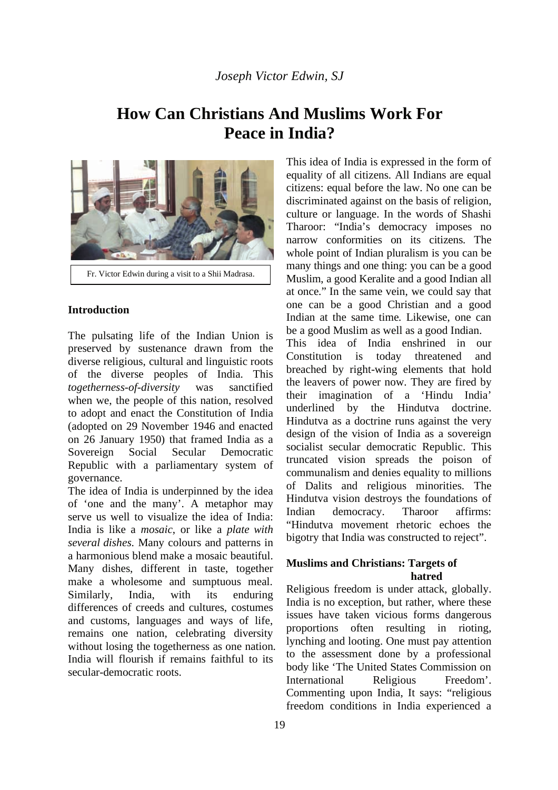# **How Can Christians And Muslims Work For Peace in India?**



Fr. Victor Edwin during a visit to a Shii Madrasa.

#### **Introduction**

The pulsating life of the Indian Union is preserved by sustenance drawn from the diverse religious, cultural and linguistic roots of the diverse peoples of India. This *togetherness-of-diversity* was sanctified when we, the people of this nation, resolved to adopt and enact the Constitution of India (adopted on 29 November 1946 and enacted on 26 January 1950) that framed India as a Sovereign Social Secular Democratic Republic with a parliamentary system of governance.

The idea of India is underpinned by the idea of 'one and the many'. A metaphor may serve us well to visualize the idea of India: India is like a *mosaic*, or like a *plate with several dishes*. Many colours and patterns in a harmonious blend make a mosaic beautiful. Many dishes, different in taste, together make a wholesome and sumptuous meal. Similarly, India, with its enduring differences of creeds and cultures, costumes and customs, languages and ways of life, remains one nation, celebrating diversity without losing the togetherness as one nation. India will flourish if remains faithful to its secular-democratic roots.

This idea of India is expressed in the form of equality of all citizens. All Indians are equal citizens: equal before the law. No one can be discriminated against on the basis of religion, culture or language. In the words of Shashi Tharoor: "India's democracy imposes no narrow conformities on its citizens. The whole point of Indian pluralism is you can be many things and one thing: you can be a good Muslim, a good Keralite and a good Indian all at once." In the same vein, we could say that one can be a good Christian and a good Indian at the same time. Likewise, one can be a good Muslim as well as a good Indian. This idea of India enshrined in our Constitution is today threatened and breached by right-wing elements that hold the leavers of power now. They are fired by their imagination of a 'Hindu India' underlined by the Hindutva doctrine. Hindutva as a doctrine runs against the very design of the vision of India as a sovereign socialist secular democratic Republic. This truncated vision spreads the poison of communalism and denies equality to millions of Dalits and religious minorities. The Hindutva vision destroys the foundations of Indian democracy. Tharoor affirms: "Hindutva movement rhetoric echoes the bigotry that India was constructed to reject".

#### **Muslims and Christians: Targets of hatred**

Religious freedom is under attack, globally. India is no exception, but rather, where these issues have taken vicious forms dangerous proportions often resulting in rioting, lynching and looting. One must pay attention to the assessment done by a professional body like 'The United States Commission on International Religious Freedom'. Commenting upon India, It says: "religious freedom conditions in India experienced a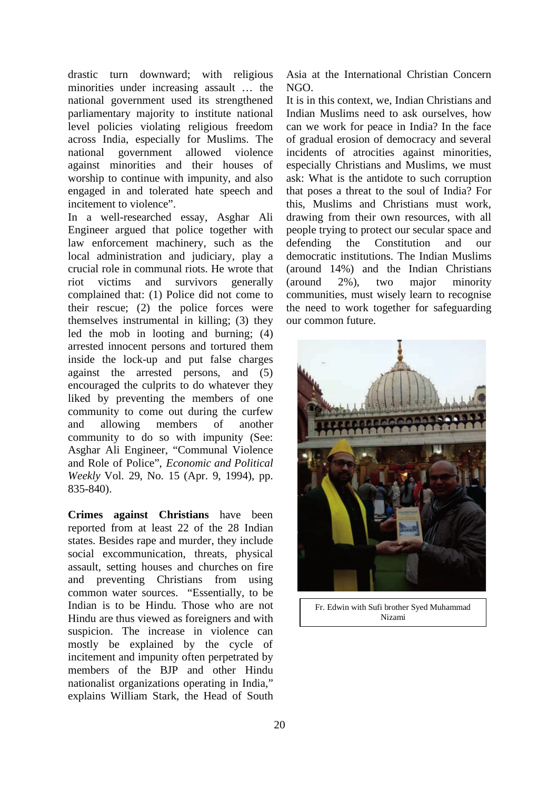drastic turn downward; with religious minorities under increasing assault … the national government used its strengthened parliamentary majority to institute national level policies violating religious freedom across India, especially for Muslims. The national government allowed violence against minorities and their houses of worship to continue with impunity, and also engaged in and tolerated hate speech and incitement to violence".

In a well-researched essay, Asghar Ali Engineer argued that police together with law enforcement machinery, such as the local administration and judiciary, play a crucial role in communal riots. He wrote that riot victims and survivors generally complained that: (1) Police did not come to their rescue; (2) the police forces were themselves instrumental in killing; (3) they led the mob in looting and burning; (4) arrested innocent persons and tortured them inside the lock-up and put false charges against the arrested persons, and (5) encouraged the culprits to do whatever they liked by preventing the members of one community to come out during the curfew and allowing members of another community to do so with impunity (See: Asghar Ali Engineer, "Communal Violence and Role of Police", *Economic and Political Weekly* Vol. 29, No. 15 (Apr. 9, 1994), pp. 835-840).

**Crimes against Christians** have been reported from at least 22 of the 28 Indian states. Besides rape and murder, they include social excommunication, threats, physical assault, setting houses and churches on fire and preventing Christians from using common water sources. "Essentially, to be Indian is to be Hindu. Those who are not Hindu are thus viewed as foreigners and with suspicion. The increase in violence can mostly be explained by the cycle of incitement and impunity often perpetrated by members of the BJP and other Hindu nationalist organizations operating in India," explains William Stark, the Head of South

Asia at the International Christian Concern NGO.

It is in this context, we, Indian Christians and Indian Muslims need to ask ourselves, how can we work for peace in India? In the face of gradual erosion of democracy and several incidents of atrocities against minorities, especially Christians and Muslims, we must ask: What is the antidote to such corruption that poses a threat to the soul of India? For this, Muslims and Christians must work, drawing from their own resources, with all people trying to protect our secular space and defending the Constitution and our democratic institutions. The Indian Muslims (around 14%) and the Indian Christians (around 2%), two major minority communities, must wisely learn to recognise the need to work together for safeguarding our common future.



Fr. Edwin with Sufi brother Syed Muhammad Nizami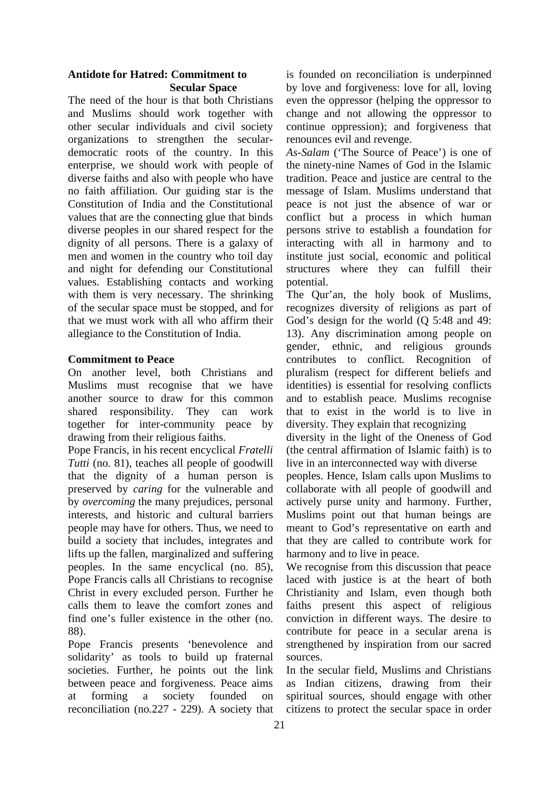#### **Antidote for Hatred: Commitment to Secular Space**

The need of the hour is that both Christians and Muslims should work together with other secular individuals and civil society organizations to strengthen the seculardemocratic roots of the country. In this enterprise, we should work with people of diverse faiths and also with people who have no faith affiliation. Our guiding star is the Constitution of India and the Constitutional values that are the connecting glue that binds diverse peoples in our shared respect for the dignity of all persons. There is a galaxy of men and women in the country who toil day and night for defending our Constitutional values. Establishing contacts and working with them is very necessary. The shrinking of the secular space must be stopped, and for that we must work with all who affirm their allegiance to the Constitution of India.

#### **Commitment to Peace**

On another level, both Christians and Muslims must recognise that we have another source to draw for this common shared responsibility. They can work together for inter-community peace by drawing from their religious faiths.

Pope Francis, in his recent encyclical *Fratelli Tutti* (no. 81), teaches all people of goodwill that the dignity of a human person is preserved by *caring* for the vulnerable and by *overcoming* the many prejudices, personal interests, and historic and cultural barriers people may have for others. Thus, we need to build a society that includes, integrates and lifts up the fallen, marginalized and suffering peoples. In the same encyclical (no. 85), Pope Francis calls all Christians to recognise Christ in every excluded person. Further he calls them to leave the comfort zones and find one's fuller existence in the other (no. 88).

Pope Francis presents 'benevolence and solidarity' as tools to build up fraternal societies. Further, he points out the link between peace and forgiveness. Peace aims at forming a society founded on reconciliation (no.227 - 229). A society that

is founded on reconciliation is underpinned by love and forgiveness: love for all, loving even the oppressor (helping the oppressor to change and not allowing the oppressor to continue oppression); and forgiveness that renounces evil and revenge.

*As-Salam* ('The Source of Peace') is one of the ninety-nine Names of God in the Islamic tradition. Peace and justice are central to the message of Islam. Muslims understand that peace is not just the absence of war or conflict but a process in which human persons strive to establish a foundation for interacting with all in harmony and to institute just social, economic and political structures where they can fulfill their potential.

The Qur'an, the holy book of Muslims, recognizes diversity of religions as part of God's design for the world (O 5:48 and 49: 13). Any discrimination among people on gender, ethnic, and religious grounds contributes to conflict. Recognition of pluralism (respect for different beliefs and identities) is essential for resolving conflicts and to establish peace. Muslims recognise that to exist in the world is to live in diversity. They explain that recognizing

diversity in the light of the Oneness of God (the central affirmation of Islamic faith) is to live in an interconnected way with diverse

peoples. Hence, Islam calls upon Muslims to collaborate with all people of goodwill and actively purse unity and harmony. Further, Muslims point out that human beings are meant to God's representative on earth and that they are called to contribute work for harmony and to live in peace.

We recognise from this discussion that peace laced with justice is at the heart of both Christianity and Islam, even though both faiths present this aspect of religious conviction in different ways. The desire to contribute for peace in a secular arena is strengthened by inspiration from our sacred sources.

In the secular field, Muslims and Christians as Indian citizens, drawing from their spiritual sources, should engage with other citizens to protect the secular space in order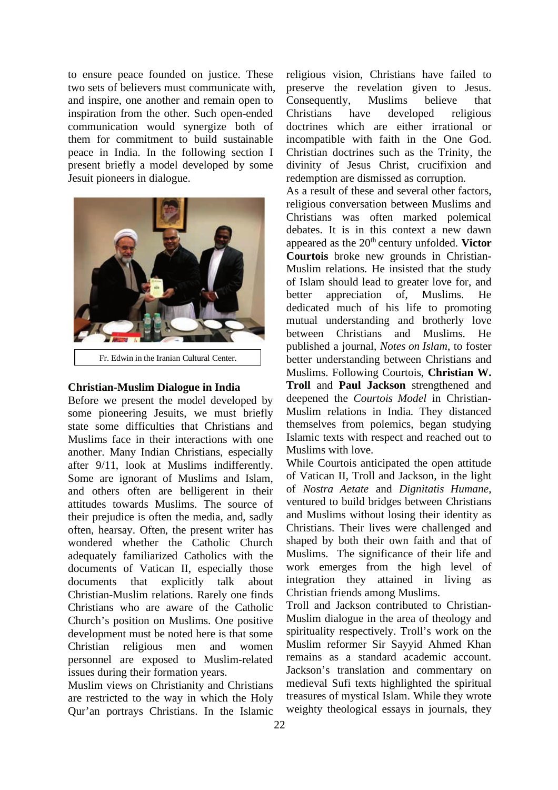to ensure peace founded on justice. These two sets of believers must communicate with, and inspire, one another and remain open to inspiration from the other. Such open-ended communication would synergize both of them for commitment to build sustainable peace in India. In the following section I present briefly a model developed by some Jesuit pioneers in dialogue.



Fr. Edwin in the Iranian Cultural Center.

#### **Christian-Muslim Dialogue in India**

Before we present the model developed by some pioneering Jesuits, we must briefly state some difficulties that Christians and Muslims face in their interactions with one another. Many Indian Christians, especially after 9/11, look at Muslims indifferently. Some are ignorant of Muslims and Islam, and others often are belligerent in their attitudes towards Muslims. The source of their prejudice is often the media, and, sadly often, hearsay. Often, the present writer has wondered whether the Catholic Church adequately familiarized Catholics with the documents of Vatican II, especially those documents that explicitly talk about Christian-Muslim relations. Rarely one finds Christians who are aware of the Catholic Church's position on Muslims. One positive development must be noted here is that some Christian religious men and women personnel are exposed to Muslim-related issues during their formation years.

Muslim views on Christianity and Christians are restricted to the way in which the Holy Qur'an portrays Christians. In the Islamic

religious vision, Christians have failed to preserve the revelation given to Jesus. Consequently, Muslims believe that Christians have developed religious doctrines which are either irrational or incompatible with faith in the One God. Christian doctrines such as the Trinity, the divinity of Jesus Christ, crucifixion and redemption are dismissed as corruption.

As a result of these and several other factors, religious conversation between Muslims and Christians was often marked polemical debates. It is in this context a new dawn appeared as the 20<sup>th</sup> century unfolded. **Victor Courtois** broke new grounds in Christian-Muslim relations. He insisted that the study of Islam should lead to greater love for, and better appreciation of, Muslims. He dedicated much of his life to promoting mutual understanding and brotherly love between Christians and Muslims. He published a journal, *Notes on Islam*, to foster better understanding between Christians and Muslims. Following Courtois, **Christian W. Troll** and **Paul Jackson** strengthened and deepened the *Courtois Model* in Christian-Muslim relations in India. They distanced themselves from polemics, began studying Islamic texts with respect and reached out to Muslims with love.

While Courtois anticipated the open attitude of Vatican II, Troll and Jackson, in the light of *Nostra Aetate* and *Dignitatis Humane*, ventured to build bridges between Christians and Muslims without losing their identity as Christians. Their lives were challenged and shaped by both their own faith and that of Muslims. The significance of their life and work emerges from the high level of integration they attained in living as Christian friends among Muslims.

Troll and Jackson contributed to Christian-Muslim dialogue in the area of theology and spirituality respectively. Troll's work on the Muslim reformer Sir Sayyid Ahmed Khan remains as a standard academic account. Jackson's translation and commentary on medieval Sufi texts highlighted the spiritual treasures of mystical Islam. While they wrote weighty theological essays in journals, they